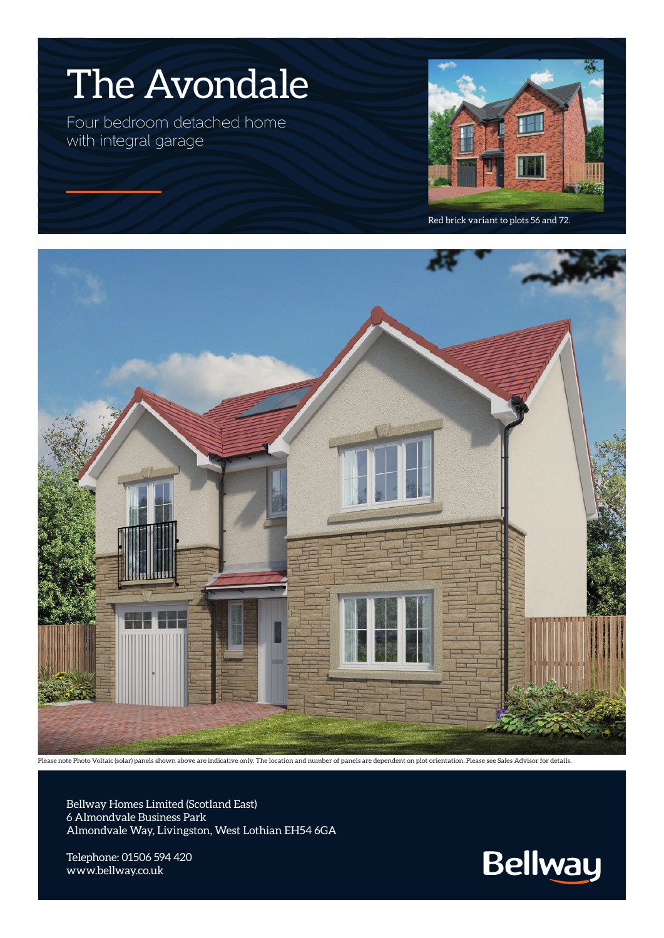

Four bedroom detached home with integral garage



Red brick variant to plots 56 and 72.



Please note Photo Voltaic (solar) panels shown above are indicative only. The location and number of panels are dependent on plot orientation. Please see Sales Advisor for details.

Bellway Homes Limited (Scotland East) 6 Almondvale Business Park Almondvale Way, Livingston, West Lothian EH54 6GA

Telephone: 01506 594 420 www.bellway.co.uk